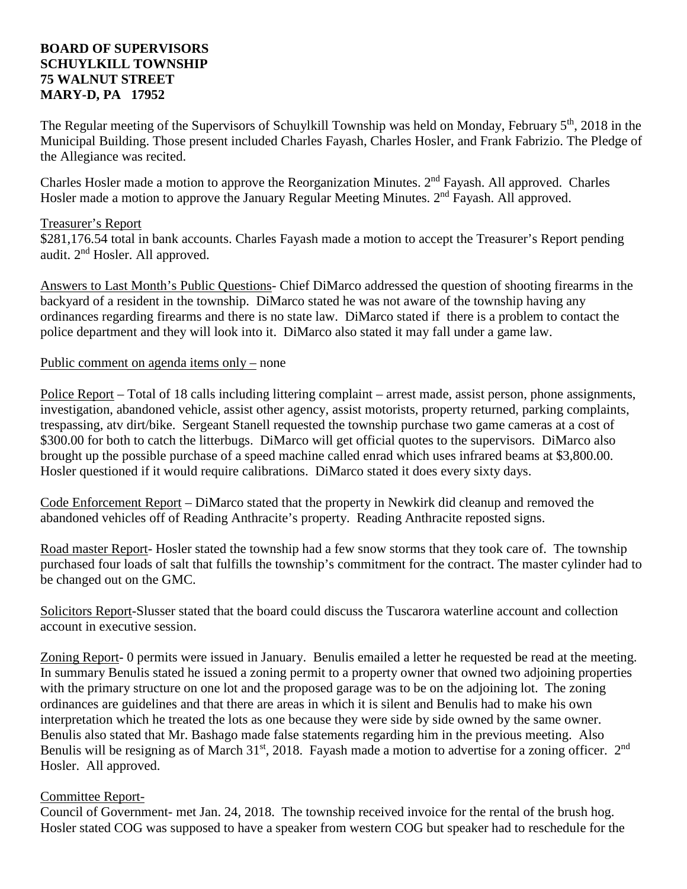## **BOARD OF SUPERVISORS SCHUYLKILL TOWNSHIP 75 WALNUT STREET MARY-D, PA 17952**

The Regular meeting of the Supervisors of Schuylkill Township was held on Monday, February 5<sup>th</sup>, 2018 in the Municipal Building. Those present included Charles Fayash, Charles Hosler, and Frank Fabrizio. The Pledge of the Allegiance was recited.

Charles Hosler made a motion to approve the Reorganization Minutes.  $2<sup>nd</sup>$  Fayash. All approved. Charles Hosler made a motion to approve the January Regular Meeting Minutes.  $2<sup>nd</sup>$  Fayash. All approved.

## Treasurer's Report

\$281,176.54 total in bank accounts. Charles Fayash made a motion to accept the Treasurer's Report pending audit. 2nd Hosler. All approved.

Answers to Last Month's Public Questions- Chief DiMarco addressed the question of shooting firearms in the backyard of a resident in the township. DiMarco stated he was not aware of the township having any ordinances regarding firearms and there is no state law. DiMarco stated if there is a problem to contact the police department and they will look into it. DiMarco also stated it may fall under a game law.

### Public comment on agenda items only – none

Police Report – Total of 18 calls including littering complaint – arrest made, assist person, phone assignments, investigation, abandoned vehicle, assist other agency, assist motorists, property returned, parking complaints, trespassing, atv dirt/bike. Sergeant Stanell requested the township purchase two game cameras at a cost of \$300.00 for both to catch the litterbugs. DiMarco will get official quotes to the supervisors. DiMarco also brought up the possible purchase of a speed machine called enrad which uses infrared beams at \$3,800.00. Hosler questioned if it would require calibrations. DiMarco stated it does every sixty days.

Code Enforcement Report – DiMarco stated that the property in Newkirk did cleanup and removed the abandoned vehicles off of Reading Anthracite's property. Reading Anthracite reposted signs.

Road master Report- Hosler stated the township had a few snow storms that they took care of. The township purchased four loads of salt that fulfills the township's commitment for the contract. The master cylinder had to be changed out on the GMC.

Solicitors Report-Slusser stated that the board could discuss the Tuscarora waterline account and collection account in executive session.

Zoning Report- 0 permits were issued in January. Benulis emailed a letter he requested be read at the meeting. In summary Benulis stated he issued a zoning permit to a property owner that owned two adjoining properties with the primary structure on one lot and the proposed garage was to be on the adjoining lot. The zoning ordinances are guidelines and that there are areas in which it is silent and Benulis had to make his own interpretation which he treated the lots as one because they were side by side owned by the same owner. Benulis also stated that Mr. Bashago made false statements regarding him in the previous meeting. Also Benulis will be resigning as of March 31<sup>st</sup>, 2018. Fayash made a motion to advertise for a zoning officer. 2<sup>nd</sup> Hosler. All approved.

# Committee Report-

Council of Government- met Jan. 24, 2018. The township received invoice for the rental of the brush hog. Hosler stated COG was supposed to have a speaker from western COG but speaker had to reschedule for the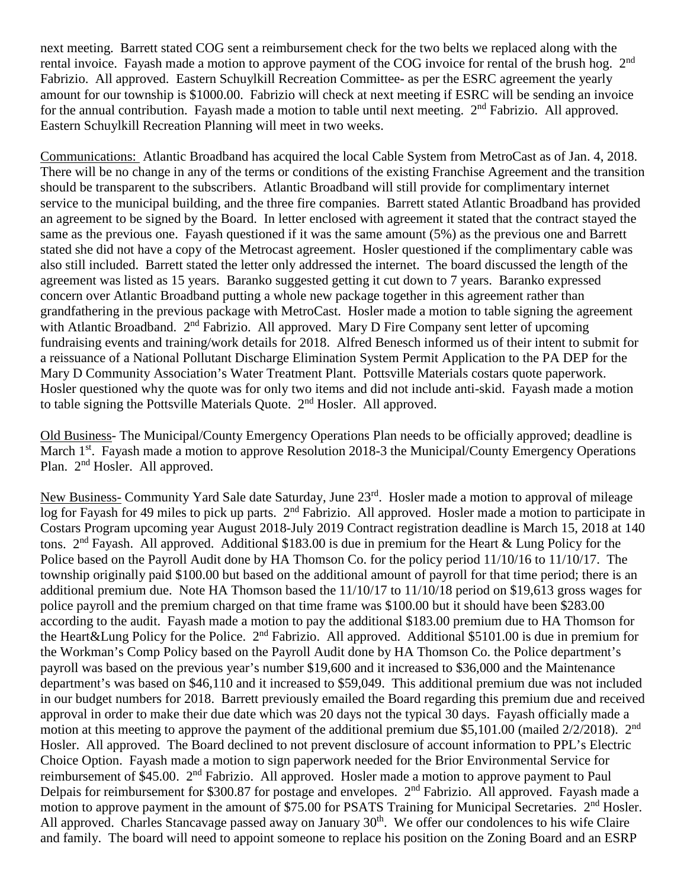next meeting. Barrett stated COG sent a reimbursement check for the two belts we replaced along with the rental invoice. Fayash made a motion to approve payment of the COG invoice for rental of the brush hog. 2<sup>nd</sup> Fabrizio. All approved. Eastern Schuylkill Recreation Committee- as per the ESRC agreement the yearly amount for our township is \$1000.00. Fabrizio will check at next meeting if ESRC will be sending an invoice for the annual contribution. Fayash made a motion to table until next meeting. 2<sup>nd</sup> Fabrizio. All approved. Eastern Schuylkill Recreation Planning will meet in two weeks.

Communications: Atlantic Broadband has acquired the local Cable System from MetroCast as of Jan. 4, 2018. There will be no change in any of the terms or conditions of the existing Franchise Agreement and the transition should be transparent to the subscribers. Atlantic Broadband will still provide for complimentary internet service to the municipal building, and the three fire companies. Barrett stated Atlantic Broadband has provided an agreement to be signed by the Board. In letter enclosed with agreement it stated that the contract stayed the same as the previous one. Fayash questioned if it was the same amount (5%) as the previous one and Barrett stated she did not have a copy of the Metrocast agreement. Hosler questioned if the complimentary cable was also still included. Barrett stated the letter only addressed the internet. The board discussed the length of the agreement was listed as 15 years. Baranko suggested getting it cut down to 7 years. Baranko expressed concern over Atlantic Broadband putting a whole new package together in this agreement rather than grandfathering in the previous package with MetroCast. Hosler made a motion to table signing the agreement with Atlantic Broadband. 2<sup>nd</sup> Fabrizio. All approved. Mary D Fire Company sent letter of upcoming fundraising events and training/work details for 2018. Alfred Benesch informed us of their intent to submit for a reissuance of a National Pollutant Discharge Elimination System Permit Application to the PA DEP for the Mary D Community Association's Water Treatment Plant. Pottsville Materials costars quote paperwork. Hosler questioned why the quote was for only two items and did not include anti-skid. Fayash made a motion to table signing the Pottsville Materials Quote. 2nd Hosler. All approved.

Old Business- The Municipal/County Emergency Operations Plan needs to be officially approved; deadline is March 1<sup>st</sup>. Fayash made a motion to approve Resolution 2018-3 the Municipal/County Emergency Operations Plan. 2<sup>nd</sup> Hosler. All approved.

New Business- Community Yard Sale date Saturday, June 23rd. Hosler made a motion to approval of mileage log for Fayash for 49 miles to pick up parts. 2<sup>nd</sup> Fabrizio. All approved. Hosler made a motion to participate in Costars Program upcoming year August 2018-July 2019 Contract registration deadline is March 15, 2018 at 140 tons.  $2<sup>nd</sup>$  Fayash. All approved. Additional \$183.00 is due in premium for the Heart & Lung Policy for the Police based on the Payroll Audit done by HA Thomson Co. for the policy period 11/10/16 to 11/10/17. The township originally paid \$100.00 but based on the additional amount of payroll for that time period; there is an additional premium due. Note HA Thomson based the 11/10/17 to 11/10/18 period on \$19,613 gross wages for police payroll and the premium charged on that time frame was \$100.00 but it should have been \$283.00 according to the audit. Fayash made a motion to pay the additional \$183.00 premium due to HA Thomson for the Heart&Lung Policy for the Police. 2nd Fabrizio. All approved. Additional \$5101.00 is due in premium for the Workman's Comp Policy based on the Payroll Audit done by HA Thomson Co. the Police department's payroll was based on the previous year's number \$19,600 and it increased to \$36,000 and the Maintenance department's was based on \$46,110 and it increased to \$59,049. This additional premium due was not included in our budget numbers for 2018. Barrett previously emailed the Board regarding this premium due and received approval in order to make their due date which was 20 days not the typical 30 days. Fayash officially made a motion at this meeting to approve the payment of the additional premium due \$5,101.00 (mailed 2/2/2018). 2<sup>nd</sup> Hosler. All approved. The Board declined to not prevent disclosure of account information to PPL's Electric Choice Option. Fayash made a motion to sign paperwork needed for the Brior Environmental Service for reimbursement of \$45.00. 2nd Fabrizio. All approved. Hosler made a motion to approve payment to Paul Delpais for reimbursement for \$300.87 for postage and envelopes. 2<sup>nd</sup> Fabrizio. All approved. Fayash made a motion to approve payment in the amount of \$75.00 for PSATS Training for Municipal Secretaries. 2<sup>nd</sup> Hosler. All approved. Charles Stancavage passed away on January 30<sup>th</sup>. We offer our condolences to his wife Claire and family. The board will need to appoint someone to replace his position on the Zoning Board and an ESRP